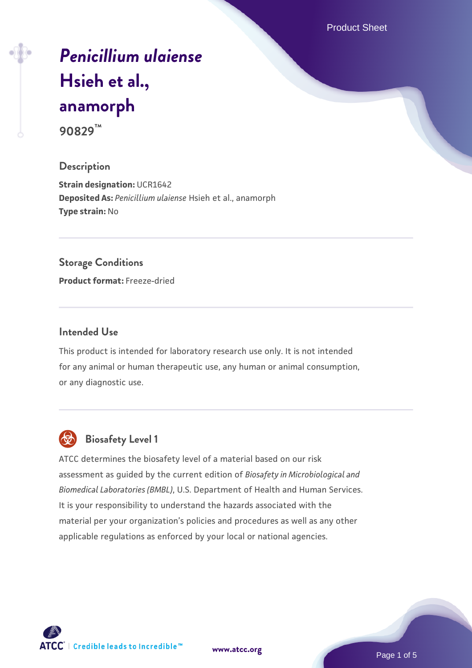Product Sheet

# *[Penicillium ulaiense](https://www.atcc.org/products/90829)* **[Hsieh et al.,](https://www.atcc.org/products/90829) [anamorph](https://www.atcc.org/products/90829)**

**90829™**

#### **Description**

**Strain designation: UCR1642 Deposited As:** *Penicillium ulaiense* Hsieh et al., anamorph **Type strain:** No

#### **Storage Conditions**

**Product format:** Freeze-dried

#### **Intended Use**

This product is intended for laboratory research use only. It is not intended for any animal or human therapeutic use, any human or animal consumption, or any diagnostic use.



# **Biosafety Level 1**

ATCC determines the biosafety level of a material based on our risk assessment as guided by the current edition of *Biosafety in Microbiological and Biomedical Laboratories (BMBL)*, U.S. Department of Health and Human Services. It is your responsibility to understand the hazards associated with the material per your organization's policies and procedures as well as any other applicable regulations as enforced by your local or national agencies.

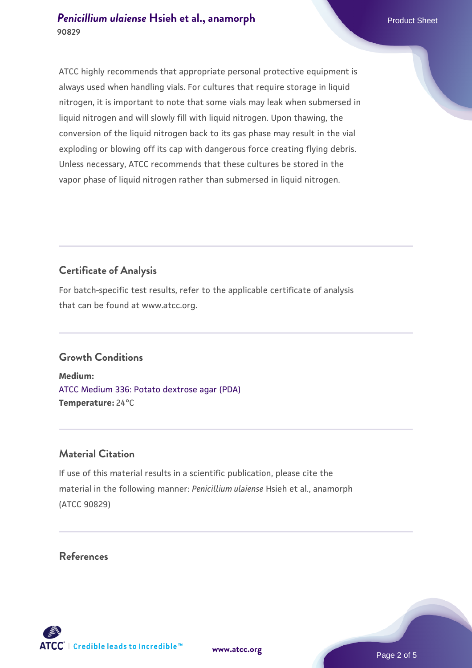ATCC highly recommends that appropriate personal protective equipment is always used when handling vials. For cultures that require storage in liquid nitrogen, it is important to note that some vials may leak when submersed in liquid nitrogen and will slowly fill with liquid nitrogen. Upon thawing, the conversion of the liquid nitrogen back to its gas phase may result in the vial exploding or blowing off its cap with dangerous force creating flying debris. Unless necessary, ATCC recommends that these cultures be stored in the vapor phase of liquid nitrogen rather than submersed in liquid nitrogen.

## **Certificate of Analysis**

For batch-specific test results, refer to the applicable certificate of analysis that can be found at www.atcc.org.

#### **Growth Conditions**

**Medium:**  [ATCC Medium 336: Potato dextrose agar \(PDA\)](https://www.atcc.org/-/media/product-assets/documents/microbial-media-formulations/3/3/6/atcc-medium-336.pdf?rev=d9160ad44d934cd8b65175461abbf3b9) **Temperature:** 24°C

#### **Material Citation**

If use of this material results in a scientific publication, please cite the material in the following manner: *Penicillium ulaiense* Hsieh et al., anamorph (ATCC 90829)

#### **References**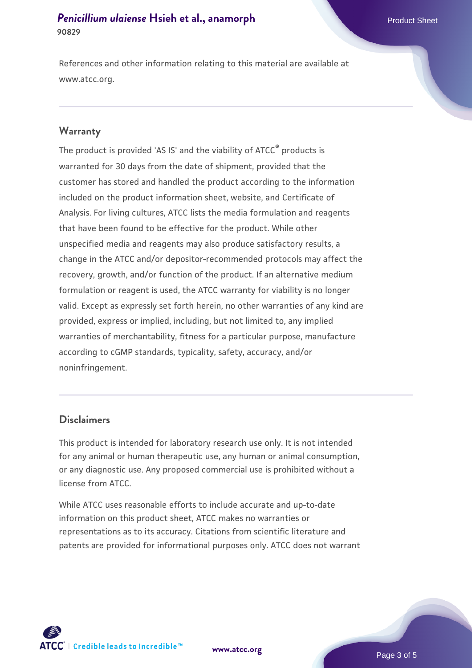References and other information relating to this material are available at www.atcc.org.

#### **Warranty**

The product is provided 'AS IS' and the viability of ATCC® products is warranted for 30 days from the date of shipment, provided that the customer has stored and handled the product according to the information included on the product information sheet, website, and Certificate of Analysis. For living cultures, ATCC lists the media formulation and reagents that have been found to be effective for the product. While other unspecified media and reagents may also produce satisfactory results, a change in the ATCC and/or depositor-recommended protocols may affect the recovery, growth, and/or function of the product. If an alternative medium formulation or reagent is used, the ATCC warranty for viability is no longer valid. Except as expressly set forth herein, no other warranties of any kind are provided, express or implied, including, but not limited to, any implied warranties of merchantability, fitness for a particular purpose, manufacture according to cGMP standards, typicality, safety, accuracy, and/or noninfringement.

#### **Disclaimers**

This product is intended for laboratory research use only. It is not intended for any animal or human therapeutic use, any human or animal consumption, or any diagnostic use. Any proposed commercial use is prohibited without a license from ATCC.

While ATCC uses reasonable efforts to include accurate and up-to-date information on this product sheet, ATCC makes no warranties or representations as to its accuracy. Citations from scientific literature and patents are provided for informational purposes only. ATCC does not warrant

**[www.atcc.org](http://www.atcc.org)**



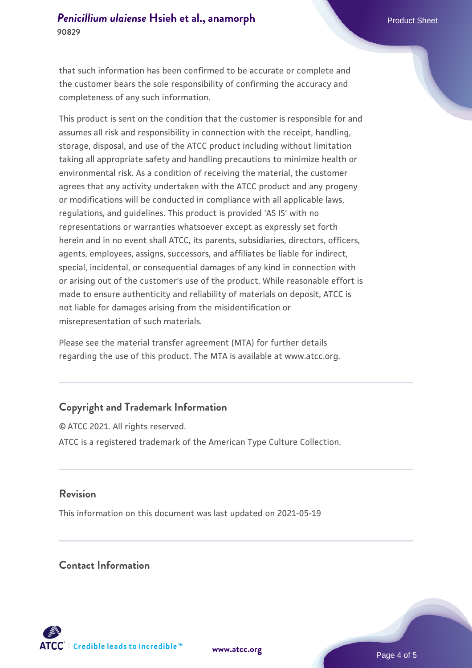that such information has been confirmed to be accurate or complete and the customer bears the sole responsibility of confirming the accuracy and completeness of any such information.

This product is sent on the condition that the customer is responsible for and assumes all risk and responsibility in connection with the receipt, handling, storage, disposal, and use of the ATCC product including without limitation taking all appropriate safety and handling precautions to minimize health or environmental risk. As a condition of receiving the material, the customer agrees that any activity undertaken with the ATCC product and any progeny or modifications will be conducted in compliance with all applicable laws, regulations, and guidelines. This product is provided 'AS IS' with no representations or warranties whatsoever except as expressly set forth herein and in no event shall ATCC, its parents, subsidiaries, directors, officers, agents, employees, assigns, successors, and affiliates be liable for indirect, special, incidental, or consequential damages of any kind in connection with or arising out of the customer's use of the product. While reasonable effort is made to ensure authenticity and reliability of materials on deposit, ATCC is not liable for damages arising from the misidentification or misrepresentation of such materials.

Please see the material transfer agreement (MTA) for further details regarding the use of this product. The MTA is available at www.atcc.org.

### **Copyright and Trademark Information**

© ATCC 2021. All rights reserved. ATCC is a registered trademark of the American Type Culture Collection.

#### **Revision**

This information on this document was last updated on 2021-05-19

#### **Contact Information**



**[www.atcc.org](http://www.atcc.org)**